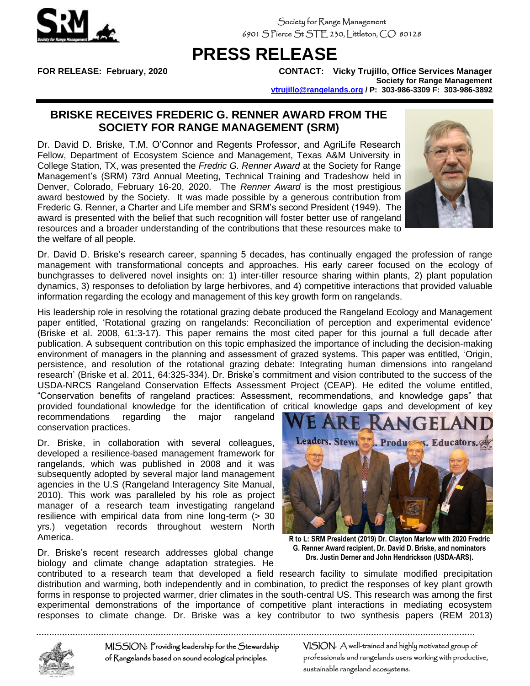

Society for Range Management 6901 S Pierce St STE 230, Littleton, CO 80128

## **PRESS RELEASE**

**FOR RELEASE: February, 2020 CONTACT: Vicky Trujillo, Office Services Manager Society for Range Management [vtrujillo@rangelands.org](mailto:vtrujillo@rangelands.org) / P: 303-986-3309 F: 303-986-3892**

## **BRISKE RECEIVES FREDERIC G. RENNER AWARD FROM THE SOCIETY FOR RANGE MANAGEMENT (SRM)**

Dr. David D. Briske, T.M. O'Connor and Regents Professor, and AgriLife Research Fellow, Department of Ecosystem Science and Management, Texas A&M University in College Station, TX, was presented the *Fredric G. Renner Award* at the Society for Range Management's (SRM) 73rd Annual Meeting, Technical Training and Tradeshow held in Denver, Colorado, February 16-20, 2020. The *Renner Award* is the most prestigious award bestowed by the Society. It was made possible by a generous contribution from Frederic G. Renner, a Charter and Life member and SRM's second President (1949). The award is presented with the belief that such recognition will foster better use of rangeland resources and a broader understanding of the contributions that these resources make to the welfare of all people.



Dr. David D. Briske's research career, spanning 5 decades, has continually engaged the profession of range management with transformational concepts and approaches. His early career focused on the ecology of bunchgrasses to delivered novel insights on: 1) inter-tiller resource sharing within plants, 2) plant population dynamics, 3) responses to defoliation by large herbivores, and 4) competitive interactions that provided valuable information regarding the ecology and management of this key growth form on rangelands.

His leadership role in resolving the rotational grazing debate produced the Rangeland Ecology and Management paper entitled, 'Rotational grazing on rangelands: Reconciliation of perception and experimental evidence' (Briske et al. 2008, 61:3-17). This paper remains the most cited paper for this journal a full decade after publication. A subsequent contribution on this topic emphasized the importance of including the decision-making environment of managers in the planning and assessment of grazed systems. This paper was entitled, 'Origin, persistence, and resolution of the rotational grazing debate: Integrating human dimensions into rangeland research' (Briske et al. 2011, 64:325-334). Dr. Briske's commitment and vision contributed to the success of the USDA-NRCS Rangeland Conservation Effects Assessment Project (CEAP). He edited the volume entitled, "Conservation benefits of rangeland practices: Assessment, recommendations, and knowledge gaps" that provided foundational knowledge for the identification of critical knowledge gaps and development of key recommendations regarding the major rangeland

conservation practices.

Dr. Briske, in collaboration with several colleagues, developed a resilience-based management framework for rangelands, which was published in 2008 and it was subsequently adopted by several major land management agencies in the U.S (Rangeland Interagency Site Manual, 2010). This work was paralleled by his role as project manager of a research team investigating rangeland resilience with empirical data from nine long-term (> 30 yrs.) vegetation records throughout western North America.

Dr. Briske's recent research addresses global change biology and climate change adaptation strategies. He



**R to L: SRM President (2019) Dr. Clayton Marlow with 2020 Fredric G. Renner Award recipient, Dr. David D. Briske, and nominators Drs. Justin Derner and John Hendrickson (USDA-ARS).**

contributed to a research team that developed a field research facility to simulate modified precipitation distribution and warming, both independently and in combination, to predict the responses of key plant growth forms in response to projected warmer, drier climates in the south-central US. This research was among the first experimental demonstrations of the importance of competitive plant interactions in mediating ecosystem responses to climate change. Dr. Briske was a key contributor to two synthesis papers (REM 2013)



MISSION: Providing leadership for the Stewardship of Rangelands based on sound ecological principles.

VISION: A well-trained and highly motivated group of professionals and rangelands users working with productive, sustainable rangeland ecosystems.